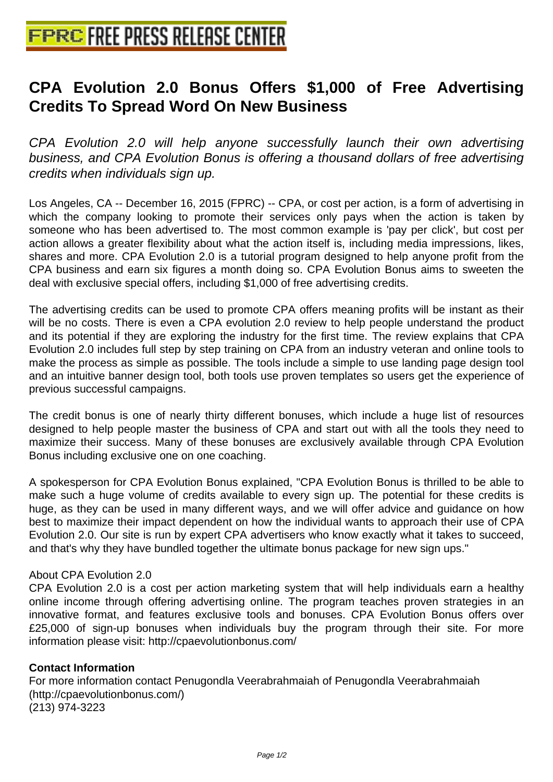## **[CPA Evolution 2.0 Bonus Offer](http://www.free-press-release-center.info)s \$1,000 of Free Advertising Credits To Spread Word On New Business**

CPA Evolution 2.0 will help anyone successfully launch their own advertising business, and CPA Evolution Bonus is offering a thousand dollars of free advertising credits when individuals sign up.

Los Angeles, CA -- December 16, 2015 (FPRC) -- CPA, or cost per action, is a form of advertising in which the company looking to promote their services only pays when the action is taken by someone who has been advertised to. The most common example is 'pay per click', but cost per action allows a greater flexibility about what the action itself is, including media impressions, likes, shares and more. CPA Evolution 2.0 is a tutorial program designed to help anyone profit from the CPA business and earn six figures a month doing so. CPA Evolution Bonus aims to sweeten the deal with exclusive special offers, including \$1,000 of free advertising credits.

The advertising credits can be used to promote CPA offers meaning profits will be instant as their will be no costs. There is even a CPA evolution 2.0 review to help people understand the product and its potential if they are exploring the industry for the first time. The review explains that CPA Evolution 2.0 includes full step by step training on CPA from an industry veteran and online tools to make the process as simple as possible. The tools include a simple to use landing page design tool and an intuitive banner design tool, both tools use proven templates so users get the experience of previous successful campaigns.

The credit bonus is one of nearly thirty different bonuses, which include a huge list of resources designed to help people master the business of CPA and start out with all the tools they need to maximize their success. Many of these bonuses are exclusively available through CPA Evolution Bonus including exclusive one on one coaching.

A spokesperson for CPA Evolution Bonus explained, "CPA Evolution Bonus is thrilled to be able to make such a huge volume of credits available to every sign up. The potential for these credits is huge, as they can be used in many different ways, and we will offer advice and guidance on how best to maximize their impact dependent on how the individual wants to approach their use of CPA Evolution 2.0. Our site is run by expert CPA advertisers who know exactly what it takes to succeed, and that's why they have bundled together the ultimate bonus package for new sign ups."

## About CPA Evolution 2.0

CPA Evolution 2.0 is a cost per action marketing system that will help individuals earn a healthy online income through offering advertising online. The program teaches proven strategies in an innovative format, and features exclusive tools and bonuses. CPA Evolution Bonus offers over £25,000 of sign-up bonuses when individuals buy the program through their site. For more information please visit: http://cpaevolutionbonus.com/

## **Contact Information**

For more information contact Penugondla Veerabrahmaiah of Penugondla Veerabrahmaiah (http://cpaevolutionbonus.com/) (213) 974-3223